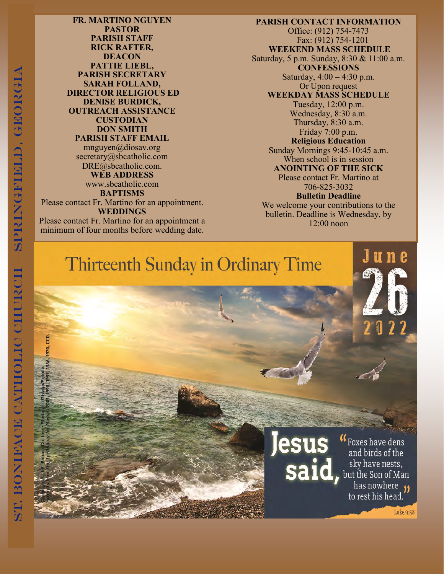**FR. MARTINO NGUYEN PASTOR PARISH STAFF RICK RAFTER, DEACON PATTIE LIEBL, PARISH SECRETARY SARAH FOLLAND, DIRECTOR RELIGIOUS ED DENISE BURDICK, OUTREACH ASSISTANCE CUSTODIAN DON SMITH PARISH STAFF EMAIL** mnguyen@diosav.org

secretary@sbcatholic.com DRE@sbcatholic.com.

**WEB ADDRESS** www.sbcatholic.com **BAPTISMS**

Please contact Fr. Martino for an appointment. **WEDDINGS** Please contact Fr. Martino for an appointment a

minimum of four months before wedding date.

**PARISH CONTACT INFORMATION** Office: (912) 754-7473 Fax: (912) 754-1201 **WEEKEND MASS SCHEDULE** Saturday, 5 p.m. Sunday, 8:30 & 11:00 a.m. **CONFESSIONS** Saturday, 4:00 – 4:30 p.m. Or Upon request **WEEKDAY MASS SCHEDULE** Tuesday, 12:00 p.m. Wednesday, 8:30 a.m. Thursday, 8:30 a.m. Friday 7:00 p.m. **Religious Education** Sunday Mornings 9:45-10:45 a.m. When school is in session **ANOINTING OF THE SICK** Please contact Fr. Martino at 706-825-3032 **Bulletin Deadline** We welcome your contributions to the bulletin. Deadline is Wednesday, by

12:00 noon

Thirteenth Sunday in Ordinary Time



"Foxes have dens and birds of the Said, but the Son of Man sky have nests, has nowhere **11** to rest his head.

U

n e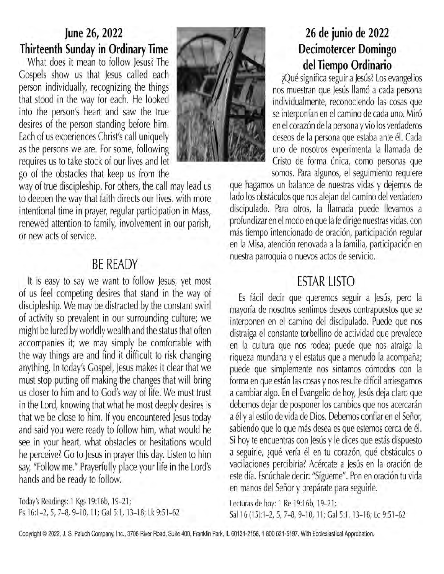## June 26, 2022 Thirteenth Sunday in Ordinary Time

What does it mean to follow lesus? The Gospels show us that Jesus called each person individually, recognizing the things that stood in the way for each. He looked into the person's heart and saw the true desires of the person standing before him. Each of us experiences Christ's call uniquely as the persons we are. For some, following requires us to take stock of our lives and let go of the obstacles that keep us from the



way of true discipleship. For others, the call may lead us to deepen the way that faith directs our lives, with more intentional time in prayer, regular participation in Mass, renewed attention to family, involvement in our parish, or new acts of service.

## **BE READY**

It is easy to say we want to follow Jesus, yet most of us feel competing desires that stand in the way of discipleship. We may be distracted by the constant swirl of activity so prevalent in our surrounding culture; we might be lured by worldly wealth and the status that often accompanies it; we may simply be comfortable with the way things are and find it difficult to risk changing anything. In today's Gospel, Jesus makes it clear that we must stop putting off making the changes that will bring us closer to him and to God's way of life. We must trust in the Lord, knowing that what he most deeply desires is that we be close to him. If you encountered Jesus today and said you were ready to follow him, what would he see in your heart, what obstacles or hesitations would he perceive? Go to Jesus in prayer this day. Listen to him say, "Follow me." Prayerfully place your life in the Lord's hands and be ready to follow.

Today's Readings: 1 Kgs 19:16b, 19-21; Ps 16:1-2, 5, 7-8, 9-10, 11; Gal 5:1, 13-18; Lk 9:51-62

## 26 de junio de 2022 **Decimotercer Domingo** del Tiempo Ordinario

¿Qué significa seguir a Jesús? Los evangelios nos muestran que Jesús llamó a cada persona individualmente, reconociendo las cosas que se interponían en el camino de cada uno. Miró en el corazón de la persona y vio los verdaderos deseos de la persona que estaba ante él. Cada uno de nosotros experimenta la llamada de Cristo de forma única, como personas que somos. Para algunos, el seguimiento requiere

que hagamos un balance de nuestras vidas y dejemos de lado los obstáculos que nos alejan del camino del verdadero discipulado. Para otros, la llamada puede llevarnos a profundizar en el modo en que la fe dirige nuestras vidas, con más tiempo intencionado de oración, participación regular en la Misa, atención renovada a la familia, participación en nuestra parroquia o nuevos actos de servicio.

# **ESTAR LISTO**

Es fácil decir que queremos seguir a Jesús, pero la mayoría de nosotros sentimos deseos contrapuestos que se interponen en el camino del discipulado. Puede que nos distraiga el constante torbellino de actividad que prevalece en la cultura que nos rodea; puede que nos atraiga la riqueza mundana y el estatus que a menudo la acompaña; puede que simplemente nos sintamos cómodos con la forma en que están las cosas y nos resulte difícil arriesgarnos a cambiar algo. En el Evangelio de hoy, Jesús deja claro que debemos dejar de posponer los cambios que nos acercarán a él y al estilo de vida de Dios. Debemos confiar en el Señor, sabiendo que lo que más desea es que estemos cerca de él. Si hoy te encuentras con Jesús y le dices que estás dispuesto a seguirle, ¿qué vería él en tu corazón, qué obstáculos o vacilaciones percibiría? Acércate a Jesús en la oración de este día. Escúchale decir: "Sígueme". Pon en oración tu vida en manos del Señor y prepárate para seguirle.

Lecturas de hoy: 1 Re 19:16b, 19-21; Sal 16 (15):1-2, 5, 7-8, 9-10, 11; Gal 5:1, 13-18; Lc 9:51-62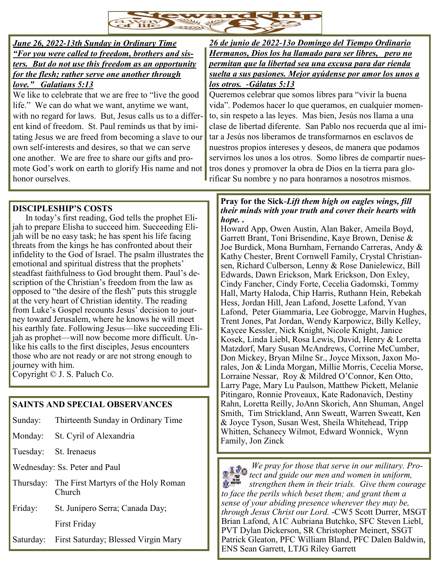

### *June 26, 2022-13th Sunday in Ordinary Time "For you were called to freedom, brothers and sisters. But do not use this freedom as an opportunity for the flesh; rather serve one another through love." Galatians 5:13*

We like to celebrate that we are free to "live the good life." We can do what we want, anytime we want, with no regard for laws. But, Jesus calls us to a different kind of freedom. St. Paul reminds us that by imitating Jesus we are freed from becoming a slave to our own self-interests and desires, so that we can serve one another. We are free to share our gifts and promote God's work on earth to glorify His name and not honor ourselves.

*26 de junio de 2022-13o Domingo del Tiempo Ordinario Hermanos, Dios los ha llamado para ser libres, pero no permitan que la libertad sea una excusa para dar rienda suelta a sus pasiones. Mejor ayúdense por amor los unos a los otros. -Gálatas 5:13*

Queremos celebrar que somos libres para "vivir la buena vida". Podemos hacer lo que queramos, en cualquier momento, sin respeto a las leyes. Mas bien, Jesús nos llama a una clase de libertad diferente. San Pablo nos recuerda que al imitar a Jesús nos liberamos de transformarnos en esclavos de nuestros propios intereses y deseos, de manera que podamos servirnos los unos a los otros. Somo libres de compartir nuestros dones y promover la obra de Dios en la tierra para glorificar Su nombre y no para honrarnos a nosotros mismos.

## **DISCIPLESHIP'S COSTS**

In today's first reading, God tells the prophet Elijah to prepare Elisha to succeed him. Succeeding Elijah will be no easy task; he has spent his life facing threats from the kings he has confronted about their infidelity to the God of Israel. The psalm illustrates the emotional and spiritual distress that the prophets' steadfast faithfulness to God brought them. Paul's description of the Christian's freedom from the law as opposed to "the desire of the flesh" puts this struggle at the very heart of Christian identity. The reading from Luke's Gospel recounts Jesus' decision to journey toward Jerusalem, where he knows he will meet his earthly fate. Following Jesus—like succeeding Elijah as prophet—will now become more difficult. Unlike his calls to the first disciples, Jesus encounters those who are not ready or are not strong enough to journey with him.

Copyright © J. S. Paluch Co.

## **SAINTS AND SPECIAL OBSERVANCES**

- Sunday: Thirteenth Sunday in Ordinary Time
- Monday: St. Cyril of Alexandria
- Tuesday: St. Irenaeus

Wednesday: Ss. Peter and Paul

- Thursday: The First Martyrs of the Holy Roman Church
- Friday: St. Junípero Serra; Canada Day; First Friday

Saturday: First Saturday; Blessed Virgin Mary

#### **Pray for the Sick-***Lift them high on eagles wings, fill their minds with your truth and cover their hearts with hope. .*

Howard App, Owen Austin, Alan Baker, Ameila Boyd, Garrett Brant, Toni Brisendine, Kaye Brown, Denise & Joe Burdick, Mona Burnham, Fernando Carreras, Andy & Kathy Chester, Brent Cornwell Family, Crystal Christiansen, Richard Culberson, Lenny & Rose Danielewicz, Bill Edwards, Dawn Erickson, Mark Erickson, Don Exley, Cindy Fancher, Cindy Forte, Cecelia Gadomski, Tommy Hall, Marty Haloda, Chip Harris, Ruthann Hein, Rebekah Hess, Jordan Hill, Jean Lafond, Josette Lafond, Yvan Lafond, Peter Giammaria, Lee Gobrogge, Marvin Hughes, Trent Jones, Pat Jordan, Wendy Karpowicz, Billy Kelley, Kaycee Kessler, Nick Knight, Nicole Knight, Janice Kosek, Linda Liebl, Rosa Lewis, David, Henry & Loretta Matzdorf, Mary Susan McAndrews, Corrine McCumber, Don Mickey, Bryan Milne Sr., Joyce Mixson, Jaxon Morales, Jon & Linda Morgan, Millie Morris, Cecelia Morse, Lorraine Nessar, Roy & Mildred O'Connor, Ken Otto, Larry Page, Mary Lu Paulson, Matthew Pickett, Melanie Pitingaro, Ronnie Proveaux, Kate Radonavich, Destiny Rahn, Loretta Reilly, JoAnn Skorich, Ann Shuman, Angel Smith, Tim Strickland, Ann Sweatt, Warren Sweatt, Ken & Joyce Tyson, Susan West, Sheila Whitehead, Tripp Whitten, Schanecy Wilmot, Edward Wonnick, Wynn Family, Jon Zinck

*We pray for those that serve in our military. Prothe We pray for those that serve in our military.* 1 *the men and women in uniform,* **SALES AND STREET** *strengthen them in their trials. Give them courage to face the perils which beset them; and grant them a sense of your abiding presence wherever they may be, through Jesus Christ our Lord. -*CW5 Scott Durrer, MSGT Brian Lafond, A1C Aubriana Butchko, SFC Steven Liebl, PVT Dylan Dickerson, SR Christopher Meinert, SSGT Patrick Gleaton, PFC William Bland, PFC Dalen Baldwin, ENS Sean Garrett, LTJG Riley Garrett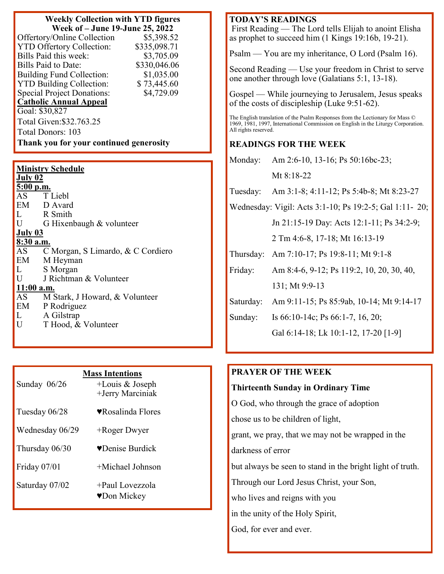#### **Weekly Collection with YTD figures Week of – June 19-June 25, 2022**

| Offertory/Online Collection             | \$5,398.52   |  |
|-----------------------------------------|--------------|--|
| <b>YTD Offertory Collection:</b>        | \$335,098.71 |  |
| Bills Paid this week:                   | \$3,705.09   |  |
| Bills Paid to Date:                     | \$330,046.06 |  |
| <b>Building Fund Collection:</b>        | \$1,035.00   |  |
| <b>YTD Building Collection:</b>         | \$73,445.60  |  |
| <b>Special Project Donations:</b>       | \$4,729.09   |  |
| <b>Catholic Annual Appeal</b>           |              |  |
| Goal: \$30,827                          |              |  |
| Total Given: \$32.763.25                |              |  |
| Total Donors: 103                       |              |  |
| Thank you for your continued generosity |              |  |

| <b>Ministry Schedule</b> |                                   |  |
|--------------------------|-----------------------------------|--|
| <b>July 02</b>           |                                   |  |
| $5:00$ p.m.              |                                   |  |
|                          | AS T Liebl                        |  |
|                          | EM D Avard                        |  |
|                          | L R Smith                         |  |
| $\mathbf U$              | G Hixenbaugh & volunteer          |  |
| July 03                  |                                   |  |
| 8:30 a.m.                |                                   |  |
| AS                       | C Morgan, S Limardo, & C Cordiero |  |
| EM                       | M Heyman                          |  |
| L                        | S Morgan                          |  |
| $\mathbf{U}$             | J Richtman & Volunteer            |  |
| $11:00$ a.m.             |                                   |  |
| AS                       | M Stark, J Howard, & Volunteer    |  |
| EM                       | P Rodriguez                       |  |
| L                        | A Gilstrap                        |  |
| $\mathbf U$              | T Hood, & Volunteer               |  |

| Sunday 06/26    | <b>Mass Intentions</b><br>$+$ Louis & Joseph<br>+Jerry Marciniak |
|-----------------|------------------------------------------------------------------|
| Tuesday 06/28   | ♥Rosalinda Flores                                                |
| Wednesday 06/29 | +Roger Dwyer                                                     |
| Thursday 06/30  | ♥Denise Burdick                                                  |
| Friday 07/01    | +Michael Johnson                                                 |
| Saturday 07/02  | +Paul Lovezzola<br>♥Don Mickey                                   |

## **TODAY'S READINGS**

First Reading — The Lord tells Elijah to anoint Elisha as prophet to succeed him (1 Kings 19:16b, 19-21).

Psalm — You are my inheritance, O Lord (Psalm 16).

Second Reading — Use your freedom in Christ to serve one another through love (Galatians 5:1, 13-18).

Gospel — While journeying to Jerusalem, Jesus speaks of the costs of discipleship (Luke 9:51-62).

The English translation of the Psalm Responses from the Lectionary for Mass © 1969, 1981, 1997, International Commission on English in the Liturgy Corporation. All rights reserved.

## **READINGS FOR THE WEEK**

Monday: Am 2:6-10, 13-16; Ps 50:16bc-23;

Mt 8:18-22

Tuesday: Am 3:1-8; 4:11-12; Ps 5:4b-8; Mt 8:23-27

Wednesday: Vigil: Acts 3:1-10; Ps 19:2-5; Gal 1:11- 20;

Jn 21:15-19 Day: Acts 12:1-11; Ps 34:2-9;

2 Tm 4:6-8, 17-18; Mt 16:13-19

Thursday: Am 7:10-17; Ps 19:8-11; Mt 9:1-8

Friday: Am 8:4-6, 9-12; Ps 119:2, 10, 20, 30, 40, 131; Mt 9:9-13

Saturday: Am 9:11-15; Ps 85:9ab, 10-14; Mt 9:14-17

Sunday: Is 66:10-14c; Ps 66:1-7, 16, 20;

Gal 6:14-18; Lk 10:1-12, 17-20 [1-9]

## **PRAYER OF THE WEEK**

## **Thirteenth Sunday in Ordinary Time**

O God, who through the grace of adoption

chose us to be children of light,

grant, we pray, that we may not be wrapped in the

darkness of error

but always be seen to stand in the bright light of truth.

Through our Lord Jesus Christ, your Son,

who lives and reigns with you

in the unity of the Holy Spirit,

God, for ever and ever.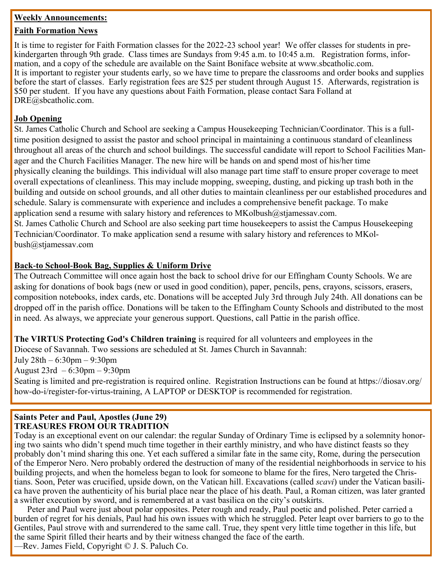#### **Weekly Announcements:**

#### **Faith Formation News**

It is time to register for Faith Formation classes for the 2022-23 school year! We offer classes for students in prekindergarten through 9th grade. Class times are Sundays from 9:45 a.m. to 10:45 a.m. Registration forms, information, and a copy of the schedule are available on the Saint Boniface website at www.sbcatholic.com. It is important to register your students early, so we have time to prepare the classrooms and order books and supplies before the start of classes. Early registration fees are \$25 per student through August 15. Afterwards, registration is \$50 per student. If you have any questions about Faith Formation, please contact Sara Folland at DRE@sbcatholic.com.

### **Job Opening**

St. James Catholic Church and School are seeking a Campus Housekeeping Technician/Coordinator. This is a fulltime position designed to assist the pastor and school principal in maintaining a continuous standard of cleanliness throughout all areas of the church and school buildings. The successful candidate will report to School Facilities Manager and the Church Facilities Manager. The new hire will be hands on and spend most of his/her time physically cleaning the buildings. This individual will also manage part time staff to ensure proper coverage to meet overall expectations of cleanliness. This may include mopping, sweeping, dusting, and picking up trash both in the building and outside on school grounds, and all other duties to maintain cleanliness per our established procedures and schedule. Salary is commensurate with experience and includes a comprehensive benefit package. To make application send a resume with salary history and references to  $MKolbush@stjamessav.com$ .

St. James Catholic Church and School are also seeking part time housekeepers to assist the Campus Housekeeping Technician/Coordinator. To make application send a resume with salary history and references to MKolbush@stjamessav.com

#### **Back-to School-Book Bag, Supplies & Uniform Drive**

The Outreach Committee will once again host the back to school drive for our Effingham County Schools. We are asking for donations of book bags (new or used in good condition), paper, pencils, pens, crayons, scissors, erasers, composition notebooks, index cards, etc. Donations will be accepted July 3rd through July 24th. All donations can be dropped off in the parish office. Donations will be taken to the Effingham County Schools and distributed to the most in need. As always, we appreciate your generous support. Questions, call Pattie in the parish office.

**The VIRTUS Protecting God's Children training** is required for all volunteers and employees in the

Diocese of Savannah. Two sessions are scheduled at St. James Church in Savannah:

July 28th – 6:30pm – 9:30pm

August 23rd – 6:30pm – 9:30pm

Seating is limited and pre-registration is required online. Registration Instructions can be found at https://diosav.org/ how-do-i/register-for-virtus-training, A LAPTOP or DESKTOP is recommended for registration.

#### **Saints Peter and Paul, Apostles (June 29) TREASURES FROM OUR TRADITION**

Today is an exceptional event on our calendar: the regular Sunday of Ordinary Time is eclipsed by a solemnity honoring two saints who didn't spend much time together in their earthly ministry, and who have distinct feasts so they probably don't mind sharing this one. Yet each suffered a similar fate in the same city, Rome, during the persecution of the Emperor Nero. Nero probably ordered the destruction of many of the residential neighborhoods in service to his building projects, and when the homeless began to look for someone to blame for the fires, Nero targeted the Christians. Soon, Peter was crucified, upside down, on the Vatican hill. Excavations (called *scavi*) under the Vatican basilica have proven the authenticity of his burial place near the place of his death. Paul, a Roman citizen, was later granted a swifter execution by sword, and is remembered at a vast basilica on the city's outskirts.

Peter and Paul were just about polar opposites. Peter rough and ready, Paul poetic and polished. Peter carried a burden of regret for his denials, Paul had his own issues with which he struggled. Peter leapt over barriers to go to the Gentiles, Paul strove with and surrendered to the same call. True, they spent very little time together in this life, but the same Spirit filled their hearts and by their witness changed the face of the earth.

—Rev. James Field, Copyright © J. S. Paluch Co.